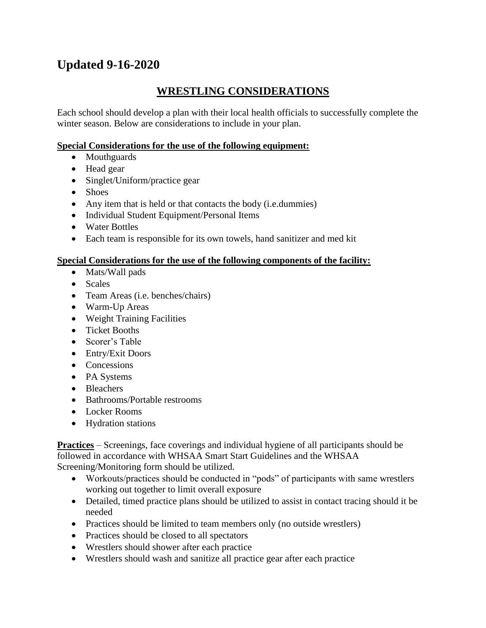# **Updated 9-16-2020**

## **WRESTLING CONSIDERATIONS**

Each school should develop a plan with their local health officials to successfully complete the winter season. Below are considerations to include in your plan.

## **Special Considerations for the use of the following equipment:**

- Mouthguards
- Head gear
- Singlet/Uniform/practice gear
- Shoes
- Any item that is held or that contacts the body (i.e. dummies)
- Individual Student Equipment/Personal Items
- Water Bottles
- Each team is responsible for its own towels, hand sanitizer and med kit

## **Special Considerations for the use of the following components of the facility:**

- Mats/Wall pads
- Scales
- Team Areas (i.e. benches/chairs)
- Warm-Up Areas
- Weight Training Facilities
- Ticket Booths
- Scorer's Table
- Entry/Exit Doors
- Concessions
- PA Systems
- Bleachers
- Bathrooms/Portable restrooms
- Locker Rooms
- Hydration stations

**Practices** – Screenings, face coverings and individual hygiene of all participants should be followed in accordance with WHSAA Smart Start Guidelines and the WHSAA Screening/Monitoring form should be utilized.

- Workouts/practices should be conducted in "pods" of participants with same wrestlers working out together to limit overall exposure
- Detailed, timed practice plans should be utilized to assist in contact tracing should it be needed
- Practices should be limited to team members only (no outside wrestlers)
- Practices should be closed to all spectators
- Wrestlers should shower after each practice
- Wrestlers should wash and sanitize all practice gear after each practice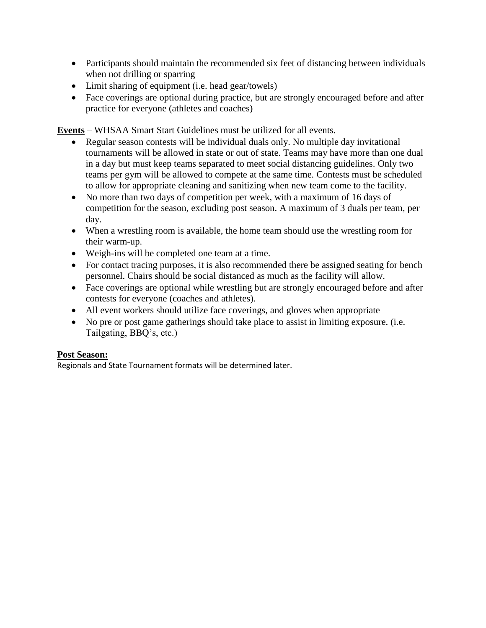- Participants should maintain the recommended six feet of distancing between individuals when not drilling or sparring
- Limit sharing of equipment (i.e. head gear/towels)
- Face coverings are optional during practice, but are strongly encouraged before and after practice for everyone (athletes and coaches)

**Events** – WHSAA Smart Start Guidelines must be utilized for all events.

- Regular season contests will be individual duals only. No multiple day invitational tournaments will be allowed in state or out of state. Teams may have more than one dual in a day but must keep teams separated to meet social distancing guidelines. Only two teams per gym will be allowed to compete at the same time*.* Contests must be scheduled to allow for appropriate cleaning and sanitizing when new team come to the facility.
- No more than two days of competition per week, with a maximum of 16 days of competition for the season, excluding post season. A maximum of 3 duals per team, per day.
- When a wrestling room is available, the home team should use the wrestling room for their warm-up.
- Weigh-ins will be completed one team at a time.
- For contact tracing purposes, it is also recommended there be assigned seating for bench personnel. Chairs should be social distanced as much as the facility will allow.
- Face coverings are optional while wrestling but are strongly encouraged before and after contests for everyone (coaches and athletes).
- All event workers should utilize face coverings, and gloves when appropriate
- No pre or post game gatherings should take place to assist in limiting exposure. (i.e. Tailgating, BBQ's, etc.)

## **Post Season:**

Regionals and State Tournament formats will be determined later.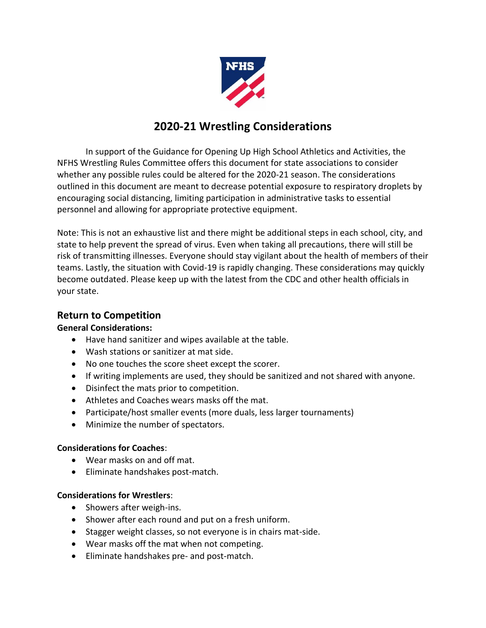

## **2020-21 Wrestling Considerations**

In support of the Guidance for Opening Up High School Athletics and Activities, the NFHS Wrestling Rules Committee offers this document for state associations to consider whether any possible rules could be altered for the 2020-21 season. The considerations outlined in this document are meant to decrease potential exposure to respiratory droplets by encouraging social distancing, limiting participation in administrative tasks to essential personnel and allowing for appropriate protective equipment.

Note: This is not an exhaustive list and there might be additional steps in each school, city, and state to help prevent the spread of virus. Even when taking all precautions, there will still be risk of transmitting illnesses. Everyone should stay vigilant about the health of members of their teams. Lastly, the situation with Covid-19 is rapidly changing. These considerations may quickly become outdated. Please keep up with the latest from the CDC and other health officials in your state.

## **Return to Competition**

## **General Considerations:**

- Have hand sanitizer and wipes available at the table.
- Wash stations or sanitizer at mat side.
- No one touches the score sheet except the scorer.
- If writing implements are used, they should be sanitized and not shared with anyone.
- Disinfect the mats prior to competition.
- Athletes and Coaches wears masks off the mat.
- Participate/host smaller events (more duals, less larger tournaments)
- Minimize the number of spectators.

## **Considerations for Coaches**:

- Wear masks on and off mat.
- Eliminate handshakes post-match.

## **Considerations for Wrestlers**:

- Showers after weigh-ins.
- Shower after each round and put on a fresh uniform.
- Stagger weight classes, so not everyone is in chairs mat-side.
- Wear masks off the mat when not competing.
- Eliminate handshakes pre- and post-match.